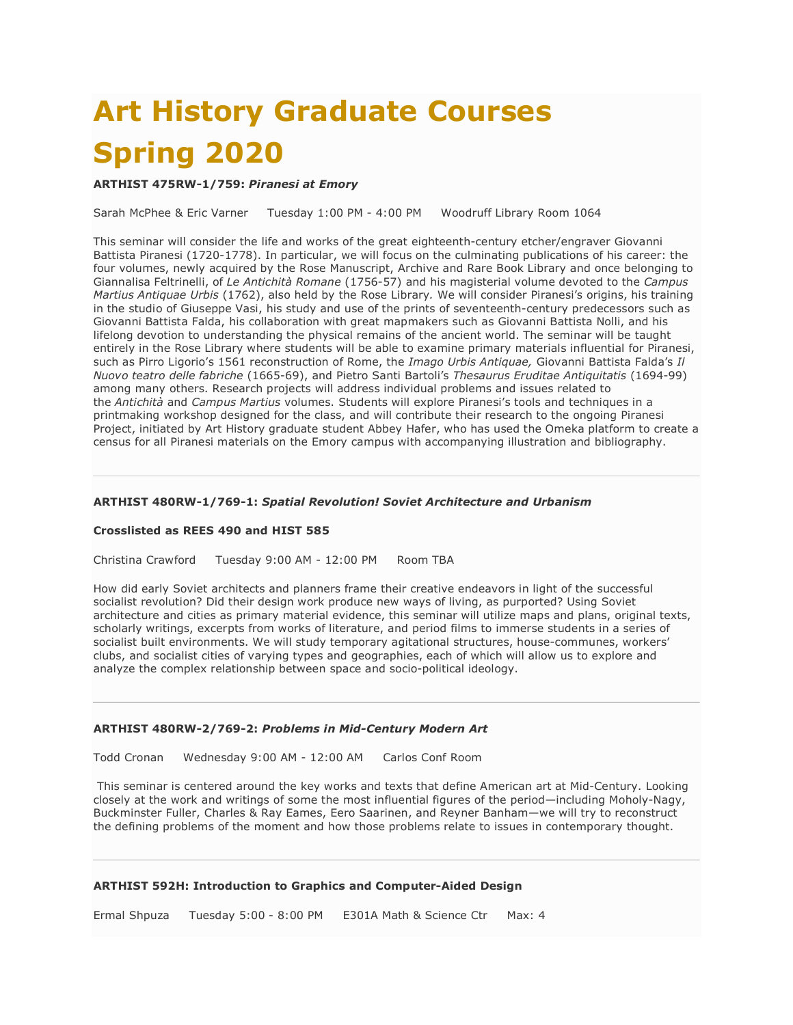# **Art History Graduate Courses Spring 2020**

# **ARTHIST 475RW-1/759:** *Piranesi at Emory*

Sarah McPhee & Eric Varner Tuesday 1:00 PM - 4:00 PM Woodruff Library Room 1064

This seminar will consider the life and works of the great eighteenth-century etcher/engraver Giovanni Battista Piranesi (1720-1778). In particular, we will focus on the culminating publications of his career: the four volumes, newly acquired by the Rose Manuscript, Archive and Rare Book Library and once belonging to Giannalisa Feltrinelli, of *Le Antichità Romane* (1756-57) and his magisterial volume devoted to the *Campus Martius Antiquae Urbis* (1762), also held by the Rose Library*.* We will consider Piranesi's origins, his training in the studio of Giuseppe Vasi, his study and use of the prints of seventeenth-century predecessors such as Giovanni Battista Falda, his collaboration with great mapmakers such as Giovanni Battista Nolli, and his lifelong devotion to understanding the physical remains of the ancient world. The seminar will be taught entirely in the Rose Library where students will be able to examine primary materials influential for Piranesi, such as Pirro Ligorio's 1561 reconstruction of Rome, the *Imago Urbis Antiquae,* Giovanni Battista Falda's *Il Nuovo teatro delle fabriche* (1665-69), and Pietro Santi Bartoli's *Thesaurus Eruditae Antiquitatis* (1694-99) among many others. Research projects will address individual problems and issues related to the *Antichità* and *Campus Martius* volumes. Students will explore Piranesi's tools and techniques in a printmaking workshop designed for the class, and will contribute their research to the ongoing Piranesi Project, initiated by Art History graduate student Abbey Hafer, who has used the Omeka platform to create a census for all Piranesi materials on the Emory campus with accompanying illustration and bibliography.

# **ARTHIST 480RW-1/769-1:** *Spatial Revolution! Soviet Architecture and Urbanism*

#### **Crosslisted as REES 490 and HIST 585**

Christina Crawford Tuesday 9:00 AM - 12:00 PM Room TBA

How did early Soviet architects and planners frame their creative endeavors in light of the successful socialist revolution? Did their design work produce new ways of living, as purported? Using Soviet architecture and cities as primary material evidence, this seminar will utilize maps and plans, original texts, scholarly writings, excerpts from works of literature, and period films to immerse students in a series of socialist built environments. We will study temporary agitational structures, house-communes, workers' clubs, and socialist cities of varying types and geographies, each of which will allow us to explore and analyze the complex relationship between space and socio-political ideology.

#### **ARTHIST 480RW-2/769-2:** *Problems in Mid-Century Modern Art*

Todd Cronan Wednesday 9:00 AM - 12:00 AM Carlos Conf Room

This seminar is centered around the key works and texts that define American art at Mid-Century. Looking closely at the work and writings of some the most influential figures of the period—including Moholy-Nagy, Buckminster Fuller, Charles & Ray Eames, Eero Saarinen, and Reyner Banham—we will try to reconstruct the defining problems of the moment and how those problems relate to issues in contemporary thought.

#### **ARTHIST 592H: Introduction to Graphics and Computer-Aided Design**

Ermal Shpuza Tuesday 5:00 - 8:00 PM E301A Math & Science Ctr Max: 4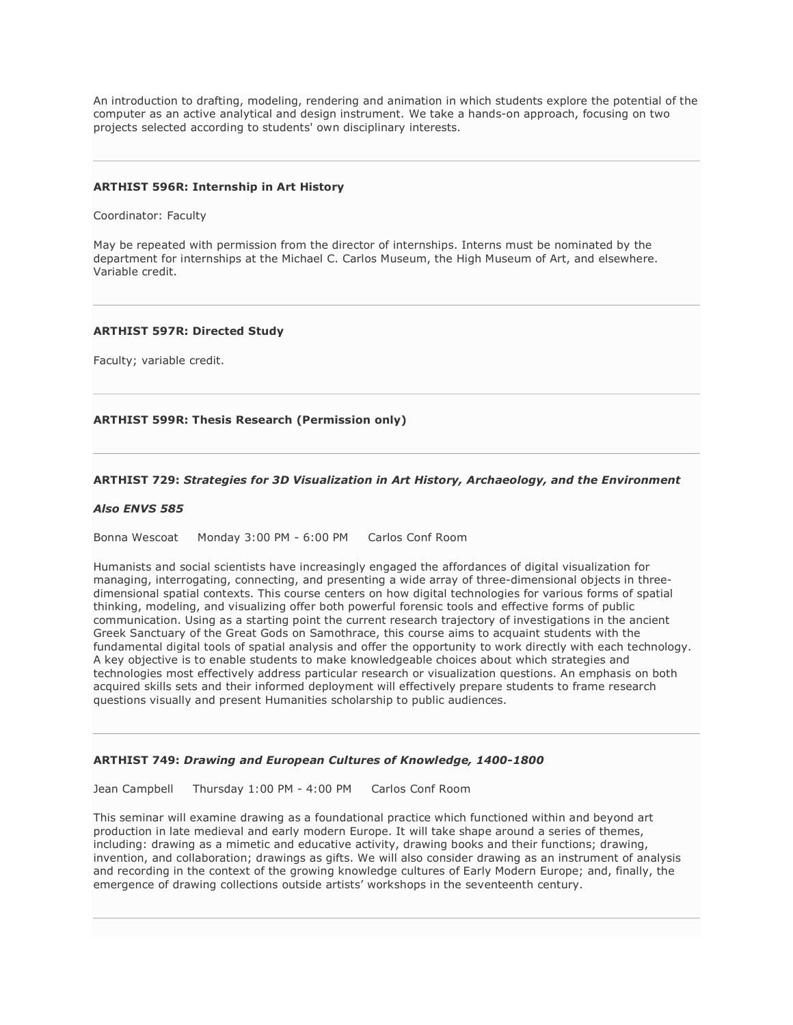An introduction to drafting, modeling, rendering and animation in which students explore the potential of the computer as an active analytical and design instrument. We take a hands-on approach, focusing on two projects selected according to students' own disciplinary interests.

### **ARTHIST 596R: Internship in Art History**

Coordinator: Faculty

May be repeated with permission from the director of internships. Interns must be nominated by the department for internships at the Michael C. Carlos Museum, the High Museum of Art, and elsewhere. Variable credit.

#### **ARTHIST 597R: Directed Study**

Faculty; variable credit.

# **ARTHIST 599R: Thesis Research (Permission only)**

# **ARTHIST 729:** *Strategies for 3D Visualization in Art History, Archaeology, and the Environment*

#### *Also ENVS 585*

Bonna Wescoat Monday 3:00 PM - 6:00 PM Carlos Conf Room

Humanists and social scientists have increasingly engaged the affordances of digital visualization for managing, interrogating, connecting, and presenting a wide array of three-dimensional objects in threedimensional spatial contexts. This course centers on how digital technologies for various forms of spatial thinking, modeling, and visualizing offer both powerful forensic tools and effective forms of public communication. Using as a starting point the current research trajectory of investigations in the ancient Greek Sanctuary of the Great Gods on Samothrace, this course aims to acquaint students with the fundamental digital tools of spatial analysis and offer the opportunity to work directly with each technology. A key objective is to enable students to make knowledgeable choices about which strategies and technologies most effectively address particular research or visualization questions. An emphasis on both acquired skills sets and their informed deployment will effectively prepare students to frame research questions visually and present Humanities scholarship to public audiences.

#### **ARTHIST 749:** *Drawing and European Cultures of Knowledge, 1400-1800*

Jean Campbell Thursday 1:00 PM - 4:00 PM Carlos Conf Room

This seminar will examine drawing as a foundational practice which functioned within and beyond art production in late medieval and early modern Europe. It will take shape around a series of themes, including: drawing as a mimetic and educative activity, drawing books and their functions; drawing, invention, and collaboration; drawings as gifts. We will also consider drawing as an instrument of analysis and recording in the context of the growing knowledge cultures of Early Modern Europe; and, finally, the emergence of drawing collections outside artists' workshops in the seventeenth century.